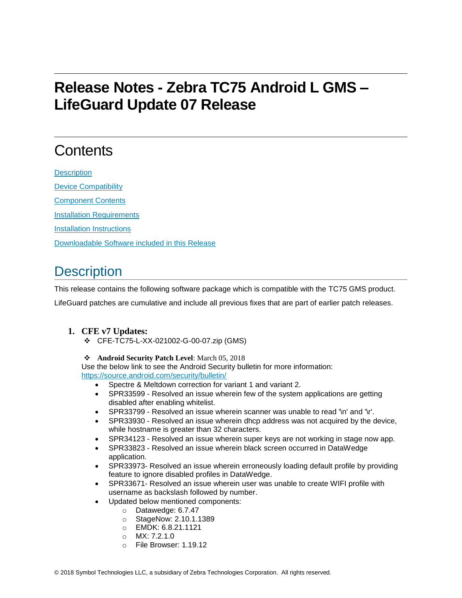# **Release Notes - Zebra TC75 Android L GMS – LifeGuard Update 07 Release**

# **Contents**

**[Description](#page-0-0)** [Device Compatibility](#page-2-0) [Component Contents](#page-3-0) [Installation Requirements](#page-3-1) [Installation Instructions](#page-3-2) [Downloadable Software included in this Release](#page-4-0)

## <span id="page-0-0"></span>**Description**

This release contains the following software package which is compatible with the TC75 GMS product.

LifeGuard patches are cumulative and include all previous fixes that are part of earlier patch releases.

### **1. CFE v7 Updates:**

❖ CFE-TC75-L-XX-021002-G-00-07.zip (GMS)

#### ❖ **Android Security Patch Level**: March 05, 2018

Use the below link to see the Android Security bulletin for more information: <https://source.android.com/security/bulletin/>

- Spectre & Meltdown correction for variant 1 and variant 2.
- SPR33599 Resolved an issue wherein few of the system applications are getting disabled after enabling whitelist.
- SPR33799 Resolved an issue wherein scanner was unable to read '\n' and '\r'.
- SPR33930 Resolved an issue wherein dhcp address was not acquired by the device, while hostname is greater than 32 characters.
- SPR34123 Resolved an issue wherein super keys are not working in stage now app.
- SPR33823 Resolved an issue wherein black screen occurred in DataWedge application.
- SPR33973- Resolved an issue wherein erroneously loading default profile by providing feature to ignore disabled profiles in DataWedge.
- SPR33671- Resolved an issue wherein user was unable to create WIFI profile with username as backslash followed by number.
- Updated below mentioned components:
	- o Datawedge: 6.7.47
	- o StageNow: 2.10.1.1389
	- o EMDK: 6.8.21.1121
	- o MX: 7.2.1.0
	- o File Browser: 1.19.12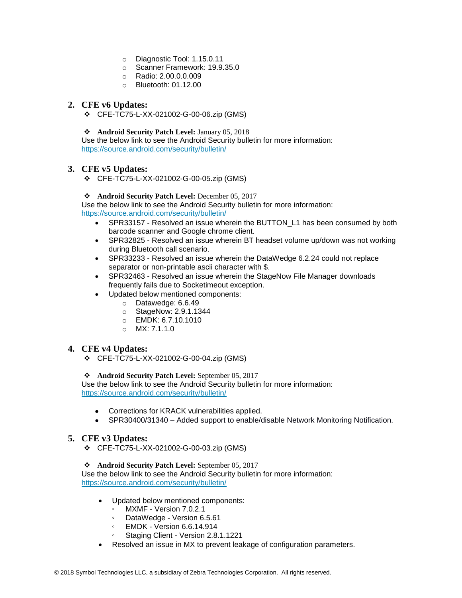- o Diagnostic Tool: 1.15.0.11
- o Scanner Framework: 19.9.35.0
- o Radio: 2.00.0.0.009
- o Bluetooth: 01.12.00

#### **2. CFE v6 Updates:**

❖ CFE-TC75-L-XX-021002-G-00-06.zip (GMS)

❖ **Android Security Patch Level:** January 05, 2018

Use the below link to see the Android Security bulletin for more information: <https://source.android.com/security/bulletin/>

#### **3. CFE v5 Updates:**

❖ CFE-TC75-L-XX-021002-G-00-05.zip (GMS)

#### ❖ **Android Security Patch Level:** December 05, 2017

Use the below link to see the Android Security bulletin for more information: <https://source.android.com/security/bulletin/>

- SPR33157 Resolved an issue wherein the BUTTON\_L1 has been consumed by both barcode scanner and Google chrome client.
- SPR32825 Resolved an issue wherein BT headset volume up/down was not working during Bluetooth call scenario.
- SPR33233 Resolved an issue wherein the DataWedge 6.2.24 could not replace separator or non-printable ascii character with \$.
- SPR32463 Resolved an issue wherein the StageNow File Manager downloads frequently fails due to Socketimeout exception.
- Updated below mentioned components:
	- o Datawedge: 6.6.49
	- o StageNow: 2.9.1.1344
	- o EMDK: 6.7.10.1010
	- o MX: 7.1.1.0

#### **4. CFE v4 Updates:**

❖ CFE-TC75-L-XX-021002-G-00-04.zip (GMS)

#### ❖ **Android Security Patch Level:** September 05, 2017

Use the below link to see the Android Security bulletin for more information: <https://source.android.com/security/bulletin/>

- Corrections for KRACK vulnerabilities applied.
- SPR30400/31340 Added support to enable/disable Network Monitoring Notification.

#### **5. CFE v3 Updates:**

❖ CFE-TC75-L-XX-021002-G-00-03.zip (GMS)

#### ❖ **Android Security Patch Level:** September 05, 2017

Use the below link to see the Android Security bulletin for more information: <https://source.android.com/security/bulletin/>

- Updated below mentioned components:
	- MXMF Version 7.0.2.1
	- DataWedge Version 6.5.61
	- EMDK Version 6.6.14.914
	- Staging Client Version 2.8.1.1221
- Resolved an issue in MX to prevent leakage of configuration parameters.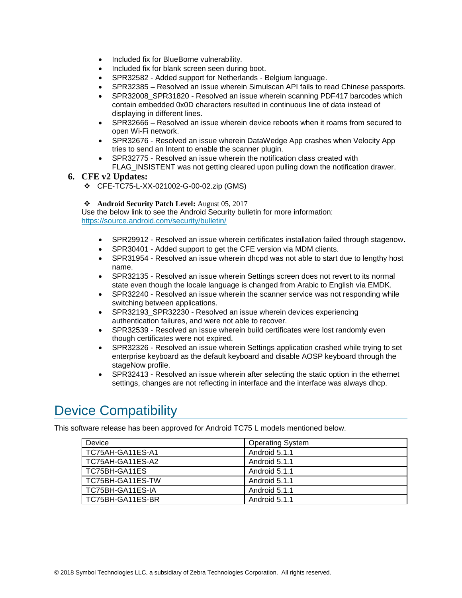- Included fix for BlueBorne vulnerability.
- Included fix for blank screen seen during boot.
- SPR32582 Added support for Netherlands Belgium language.
- SPR32385 Resolved an issue wherein Simulscan API fails to read Chinese passports.
- SPR32008 SPR31820 Resolved an issue wherein scanning PDF417 barcodes which contain embedded 0x0D characters resulted in continuous line of data instead of displaying in different lines.
- SPR32666 Resolved an issue wherein device reboots when it roams from secured to open Wi-Fi network.
- SPR32676 Resolved an issue wherein DataWedge App crashes when Velocity App tries to send an Intent to enable the scanner plugin.
- SPR32775 Resolved an issue wherein the notification class created with FLAG\_INSISTENT was not getting cleared upon pulling down the notification drawer.

#### **6. CFE v2 Updates:**

❖ CFE-TC75-L-XX-021002-G-00-02.zip (GMS)

#### ❖ **Android Security Patch Level:** August 05, 2017

Use the below link to see the Android Security bulletin for more information: <https://source.android.com/security/bulletin/>

- <span id="page-2-0"></span>• SPR29912 - Resolved an issue wherein certificates installation failed through stagenow.
- SPR30401 Added support to get the CFE version via MDM clients.
- SPR31954 Resolved an issue wherein dhcpd was not able to start due to lengthy host name.
- SPR32135 Resolved an issue wherein Settings screen does not revert to its normal state even though the locale language is changed from Arabic to English via EMDK.
- SPR32240 Resolved an issue wherein the scanner service was not responding while switching between applications.
- SPR32193\_SPR32230 Resolved an issue wherein devices experiencing authentication failures, and were not able to recover.
- SPR32539 Resolved an issue wherein build certificates were lost randomly even though certificates were not expired.
- SPR32326 Resolved an issue wherein Settings application crashed while trying to set enterprise keyboard as the default keyboard and disable AOSP keyboard through the stageNow profile.
- SPR32413 Resolved an issue wherein after selecting the static option in the ethernet settings, changes are not reflecting in interface and the interface was always dhcp.

### Device Compatibility

This software release has been approved for Android TC75 L models mentioned below.

| Device           | <b>Operating System</b> |
|------------------|-------------------------|
| TC75AH-GA11ES-A1 | Android 5.1.1           |
| TC75AH-GA11ES-A2 | Android 5.1.1           |
| TC75BH-GA11ES    | Android 5.1.1           |
| TC75BH-GA11ES-TW | Android 5.1.1           |
| TC75BH-GA11ES-IA | Android 5.1.1           |
| TC75BH-GA11ES-BR | Android 5.1.1           |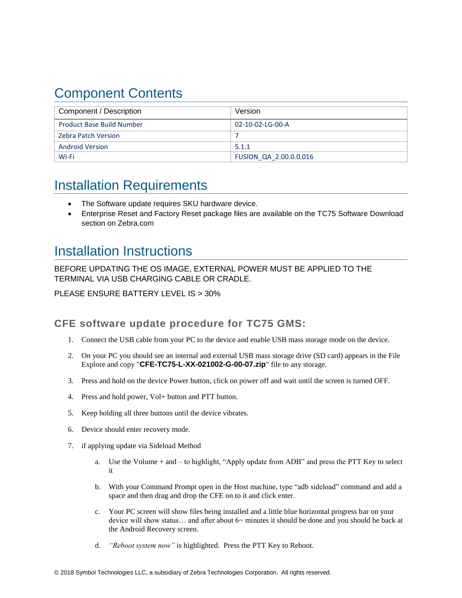## <span id="page-3-0"></span>Component Contents

| Component / Description          | Version                |
|----------------------------------|------------------------|
| <b>Product Base Build Number</b> | 02-10-02-LG-00-A       |
| <b>Zebra Patch Version</b>       |                        |
| <b>Android Version</b>           | 5.1.1                  |
| Wi-Fi                            | FUSION QA 2.00.0.0.016 |

### <span id="page-3-1"></span>Installation Requirements

- <span id="page-3-2"></span>The Software update requires SKU hardware device.
- Enterprise Reset and Factory Reset package files are available on the TC75 Software Download section on Zebra.com

### Installation Instructions

BEFORE UPDATING THE OS IMAGE, EXTERNAL POWER MUST BE APPLIED TO THE TERMINAL VIA USB CHARGING CABLE OR CRADLE.

PLEASE ENSURE BATTERY LEVEL IS > 30%

### CFE software update procedure for TC75 GMS:

- 1. Connect the USB cable from your PC to the device and enable USB mass storage mode on the device.
- 2. On your PC you should see an internal and external USB mass storage drive (SD card) appears in the File Explore and copy "**CFE-TC75-L-XX-021002-G-00-07.zip**" file to any storage.
- 3. Press and hold on the device Power button, click on power off and wait until the screen is turned OFF.
- 4. Press and hold power, Vol+ button and PTT button.
- 5. Keep holding all three buttons until the device vibrates.
- 6. Device should enter recovery mode.
- 7. if applying update via Sideload Method
	- a. Use the Volume + and to highlight, "Apply update from ADB" and press the PTT Key to select it
	- b. With your Command Prompt open in the Host machine, type "adb sideload" command and add a space and then drag and drop the CFE on to it and click enter.
	- c. Your PC screen will show files being installed and a little blue horizontal progress bar on your device will show status... and after about  $6<sub>\sim</sub>$  minutes it should be done and you should be back at the Android Recovery screen.
	- d. *"Reboot system now"* is highlighted. Press the PTT Key to Reboot.